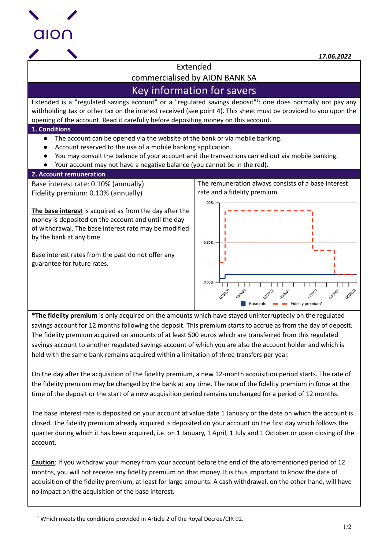

*17.06.2022*

Extended commercialised by AION BANK SA

# Key information for savers

Extended is a "regulated savings account" or a "regulated savings deposit"<sup>1</sup>: one does normally not pay any withholding tax or other tax on the interest received (see point 4). This sheet must be provided to you upon the opening of the account. Read it carefully before depositing money on this account.

## **1. Conditions**

- The account can be opened via the website of the bank or via mobile banking.
- Account reserved to the use of a mobile banking application.
- You may consult the balance of your account and the transactions carried out via mobile banking.
- Your account may not have a negative balance (you cannot be in the red).

## **2. Account remuneration**

Base interest rate: 0.10% (annually) Fidelity premium: 0.10% (annually)

**The base interest** is acquired as from the day after the money is deposited on the account and until the day of withdrawal. The base interest rate may be modified by the bank at any time.

Base interest rates from the past do not offer any guarantee for future rates.

The remuneration always consists of a base interest rate and a fidelity premium.



**\*The fidelity premium** is only acquired on the amounts which have stayed uninterruptedly on the regulated savings account for 12 months following the deposit. This premium starts to accrue as from the day of deposit. The fidelity premium acquired on amounts of at least 500 euros which are transferred from this regulated savings account to another regulated savings account of which you are also the account holder and which is held with the same bank remains acquired within a limitation of three transfers per year.

On the day after the acquisition of the fidelity premium, a new 12-month acquisition period starts. The rate of the fidelity premium may be changed by the bank at any time. The rate of the fidelity premium in force at the time of the deposit or the start of a new acquisition period remains unchanged for a period of 12 months.

The base interest rate is deposited on your account at value date 1 January or the date on which the account is closed. The fidelity premium already acquired is deposited on your account on the first day which follows the quarter during which it has been acquired, i.e. on 1 January, 1 April, 1 July and 1 October or upon closing of the account.

**Caution**: If you withdraw your money from your account before the end of the aforementioned period of 12 months, you will not receive any fidelity premium on that money. It is thus important to know the date of acquisition of the fidelity premium, at least for large amounts. A cash withdrawal, on the other hand, will have no impact on the acquisition of the base interest.

<sup>&</sup>lt;sup>1</sup> Which meets the conditions provided in Article 2 of the Royal Decree/CIR 92.